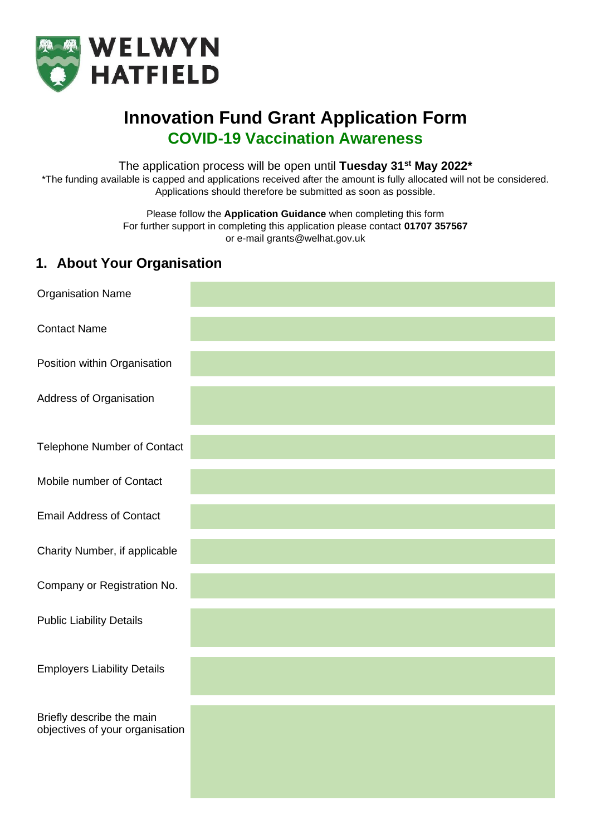

# **Innovation Fund Grant Application Form COVID-19 Vaccination Awareness**

The application process will be open until **Tuesday 31st May 2022\***

\*The funding available is capped and applications received after the amount is fully allocated will not be considered. Applications should therefore be submitted as soon as possible.

> Please follow the **Application Guidance** when completing this form For further support in completing this application please contact **01707 357567** or e-mail grants@welhat.gov.uk

## **1. About Your Organisation**

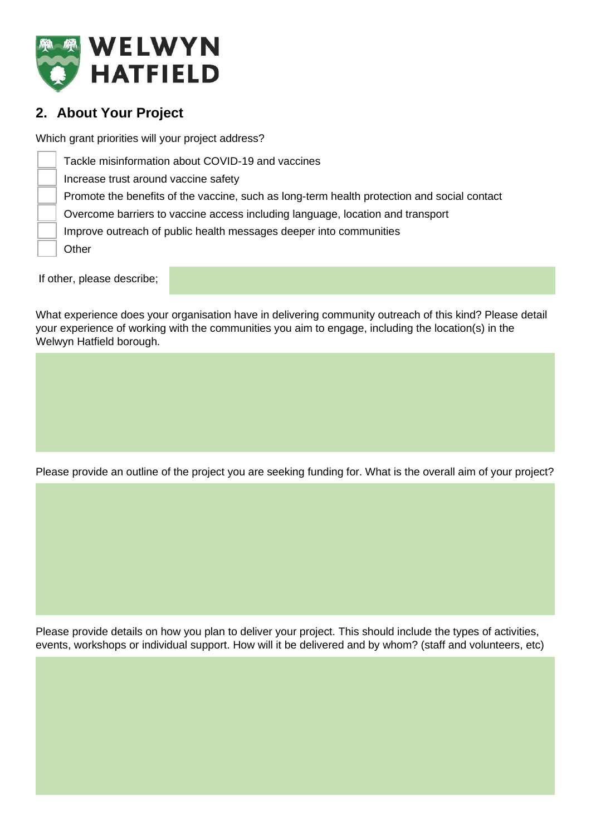

## **2. About Your Project**

Which grant priorities will your project address?

Tackle misinformation about COVID-19 and vaccines Increase trust around vaccine safety Promote the benefits of the vaccine, such as long-term health protection and social contact Overcome barriers to vaccine access including language, location and transport Improve outreach of public health messages deeper into communities **Other** 

If other, please describe;

What experience does your organisation have in delivering community outreach of this kind? Please detail your experience of working with the communities you aim to engage, including the location(s) in the Welwyn Hatfield borough.

Please provide an outline of the project you are seeking funding for. What is the overall aim of your project?

Please provide details on how you plan to deliver your project. This should include the types of activities, events, workshops or individual support. How will it be delivered and by whom? (staff and volunteers, etc)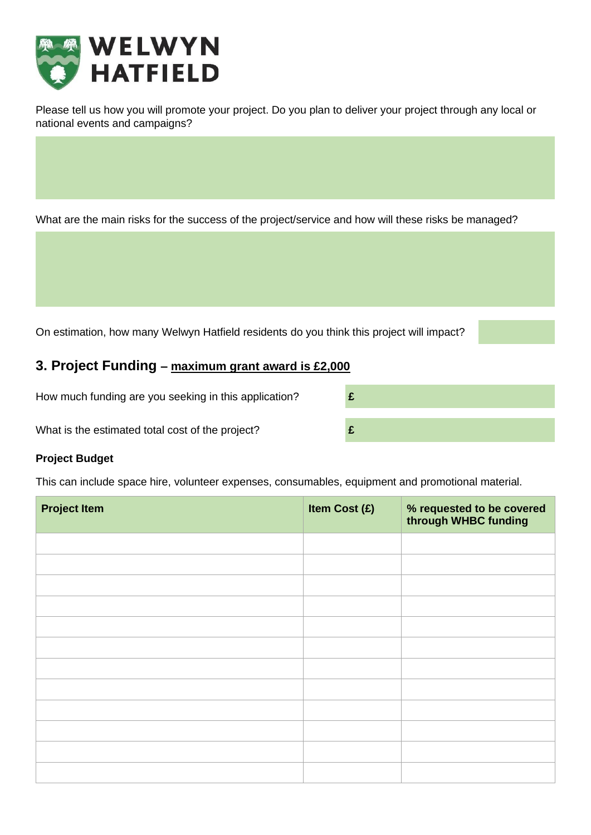

Please tell us how you will promote your project. Do you plan to deliver your project through any local or national events and campaigns?

What are the main risks for the success of the project/service and how will these risks be managed?

On estimation, how many Welwyn Hatfield residents do you think this project will impact?

### **3. Project Funding – maximum grant award is £2,000**

How much funding are you seeking in this application? **£**

What is the estimated total cost of the project? **£**

#### **Project Budget**

This can include space hire, volunteer expenses, consumables, equipment and promotional material.

| <b>Project Item</b> | Item Cost (£) | % requested to be covered<br>through WHBC funding |
|---------------------|---------------|---------------------------------------------------|
|                     |               |                                                   |
|                     |               |                                                   |
|                     |               |                                                   |
|                     |               |                                                   |
|                     |               |                                                   |
|                     |               |                                                   |
|                     |               |                                                   |
|                     |               |                                                   |
|                     |               |                                                   |
|                     |               |                                                   |
|                     |               |                                                   |
|                     |               |                                                   |